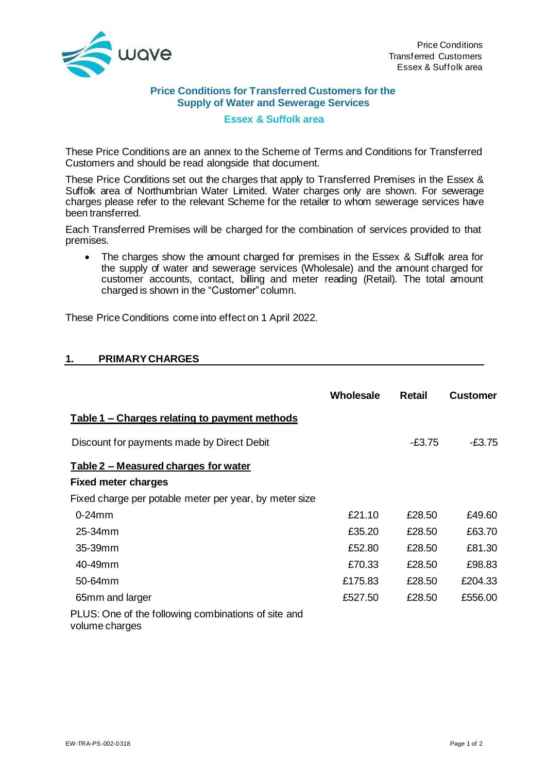

## **Price Conditions for Transferred Customers for the Supply of Water and Sewerage Services**

## **Essex & Suffolk area**

These Price Conditions are an annex to the Scheme of Terms and Conditions for Transferred Customers and should be read alongside that document.

These Price Conditions set out the charges that apply to Transferred Premises in the Essex & Suffolk area of Northumbrian Water Limited. Water charges only are shown. For sewerage charges please refer to the relevant Scheme for the retailer to whom sewerage services have been transferred.

Each Transferred Premises will be charged for the combination of services provided to that premises.

The charges show the amount charged for premises in the Essex & Suffolk area for the supply of water and sewerage services (Wholesale) and the amount charged for customer accounts, contact, billing and meter reading (Retail). The total amount charged is shown in the "Customer" column.

These Price Conditions come into effect on 1 April 2022.

## **1. PRIMARYCHARGES**

|                                                                       | Wholesale | <b>Retail</b> | <b>Customer</b> |
|-----------------------------------------------------------------------|-----------|---------------|-----------------|
| Table 1 - Charges relating to payment methods                         |           |               |                 |
| Discount for payments made by Direct Debit                            |           | -£3.75        | $-£3.75$        |
| Table 2 - Measured charges for water                                  |           |               |                 |
| <b>Fixed meter charges</b>                                            |           |               |                 |
| Fixed charge per potable meter per year, by meter size                |           |               |                 |
| $0-24$ mm                                                             | £21.10    | £28.50        | £49.60          |
| $25-34$ mm                                                            | £35.20    | £28.50        | £63.70          |
| 35-39mm                                                               | £52.80    | £28.50        | £81.30          |
| 40-49mm                                                               | £70.33    | £28.50        | £98.83          |
| 50-64mm                                                               | £175.83   | £28.50        | £204.33         |
| 65mm and larger                                                       | £527.50   | £28.50        | £556.00         |
| PLUS: One of the following combinations of site and<br>volume charges |           |               |                 |